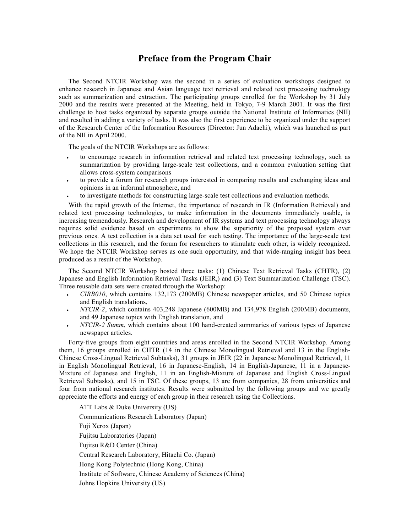## Preface from the Program Chair

The Second NTCIR Workshop was the second in a series of evaluation workshops designed to enhance research in Japanese and Asian language text retrieval and related text processing technology such as summarization and extraction. The participating groups enrolled for the Workshop by 31 July 2000 and the results were presented at the Meeting, held in Tokyo, 7-9 March 2001. It was the first challenge to host tasks organized by separate groups outside the National Institute of Informatics (NII) and resulted in adding a variety of tasks. It was also the first experience to be organized under the support of the Research Center of the Information Resources (Director: Jun Adachi), which was launched as part of the NII in April 2000.

The goals of the NTCIR Workshops are as follows:

- · to encourage research in information retrieval and related text processing technology, such as summarization by providing large-scale test collections, and a common evaluation setting that allows cross-system comparisons
- · to provide a forum for research groups interested in comparing results and exchanging ideas and opinions in an informal atmosphere, and
- ·to investigate methods for constructing large-scale test collections and evaluation methods.

With the rapid growth of the Internet, the importance of research in IR (Information Retrieval) and related text processing technologies, to make information in the documents immediately usable, is increasing tremendously. Research and development of IR systems and text processing technology always requires solid evidence based on experiments to show the superiority of the proposed system over previous ones. A test collection is a data set used for such testing. The importance of the large-scale test collections in this research, and the forum for researchers to stimulate each other, is widely recognized. We hope the NTCIR Workshop serves as one such opportunity, and that wide-ranging insight has been produced as a result of the Workshop.

The Second NTCIR Workshop hosted three tasks: (1) Chinese Text Retrieval Tasks (CHTR), (2) Japanese and English Information Retrieval Tasks (JEIR,) and (3) Text Summarization Challenge (TSC). Three reusable data sets were created through the Workshop:

- · CIRB010, which contains 132,173 (200MB) Chinese newspaper articles, and 50 Chinese topics and English translations,
- · NTCIR-2, which contains 403,248 Japanese (600MB) and 134,978 English (200MB) documents, and 49 Japanese topics with English translation, and
- · NTCIR-2 Summ, which contains about 100 hand-created summaries of various types of Japanese newspaper articles.

Forty-five groups from eight countries and areas enrolled in the Second NTCIR Workshop. Among them, 16 groups enrolled in CHTR (14 in the Chinese Monolingual Retrieval and 13 in the English-Chinese Cross-Lingual Retrieval Subtasks), 31 groups in JEIR (22 in Japanese Monolingual Retrieval, 11 in English Monolingual Retrieval, 16 in Japanese-English, 14 in English-Japanese, 11 in a Japanese-Mixture of Japanese and English, 11 in an English-Mixture of Japanese and English Cross-Lingual Retrieval Subtasks), and 15 in TSC. Of these groups, 13 are from companies, 28 from universities and four from national research institutes. Results were submitted by the following groups and we greatly appreciate the efforts and energy of each group in their research using the Collections.

ATT Labs & Duke University (US) Communications Research Laboratory (Japan) Fuji Xerox (Japan) Fujitsu Laboratories (Japan) Fujitsu R&D Center (China) Central Research Laboratory, Hitachi Co. (Japan) Hong Kong Polytechnic (Hong Kong, China) Institute of Software, Chinese Academy of Sciences (China) Johns Hopkins University (US)